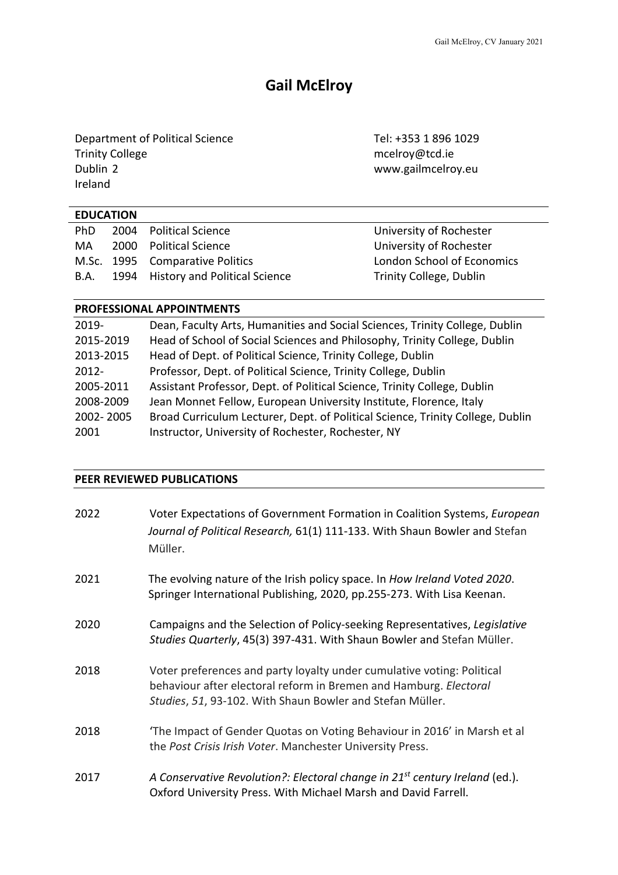# **Gail McElroy**

Department of Political Science Tel: +353 1 896 1029 Trinity College methods are all the model of the model of the model of the model of the model of the model of the model of the model of the model of the model of the model of the model of the model of the model of the mode Ireland

www.gailmcelroy.eu

| <b>EDUCATION</b> |                                    |                            |
|------------------|------------------------------------|----------------------------|
| PhD.             | 2004 Political Science             | University of Rochester    |
| MA               | 2000 Political Science             | University of Rochester    |
|                  | M.Sc. 1995 Comparative Politics    | London School of Economics |
| B.A.             | 1994 History and Political Science | Trinity College, Dublin    |

# **PROFESSIONAL APPOINTMENTS**

| 2019-     | Dean, Faculty Arts, Humanities and Social Sciences, Trinity College, Dublin    |
|-----------|--------------------------------------------------------------------------------|
| 2015-2019 | Head of School of Social Sciences and Philosophy, Trinity College, Dublin      |
| 2013-2015 | Head of Dept. of Political Science, Trinity College, Dublin                    |
| $2012 -$  | Professor, Dept. of Political Science, Trinity College, Dublin                 |
| 2005-2011 | Assistant Professor, Dept. of Political Science, Trinity College, Dublin       |
| 2008-2009 | Jean Monnet Fellow, European University Institute, Florence, Italy             |
| 2002-2005 | Broad Curriculum Lecturer, Dept. of Political Science, Trinity College, Dublin |
| 2001      | Instructor, University of Rochester, Rochester, NY                             |
|           |                                                                                |

# **PEER REVIEWED PUBLICATIONS**

| 2022 | Voter Expectations of Government Formation in Coalition Systems, <i>European</i><br>Journal of Political Research, 61(1) 111-133. With Shaun Bowler and Stefan<br>Müller.                                |
|------|----------------------------------------------------------------------------------------------------------------------------------------------------------------------------------------------------------|
| 2021 | The evolving nature of the Irish policy space. In How Ireland Voted 2020.<br>Springer International Publishing, 2020, pp.255-273. With Lisa Keenan.                                                      |
| 2020 | Campaigns and the Selection of Policy-seeking Representatives, Legislative<br>Studies Quarterly, 45(3) 397-431. With Shaun Bowler and Stefan Müller.                                                     |
| 2018 | Voter preferences and party loyalty under cumulative voting: Political<br>behaviour after electoral reform in Bremen and Hamburg. Electoral<br>Studies, 51, 93-102. With Shaun Bowler and Stefan Müller. |
| 2018 | 'The Impact of Gender Quotas on Voting Behaviour in 2016' in Marsh et al<br>the Post Crisis Irish Voter. Manchester University Press.                                                                    |
| 2017 | A Conservative Revolution?: Electoral change in $21^{st}$ century Ireland (ed.).<br>Oxford University Press. With Michael Marsh and David Farrell.                                                       |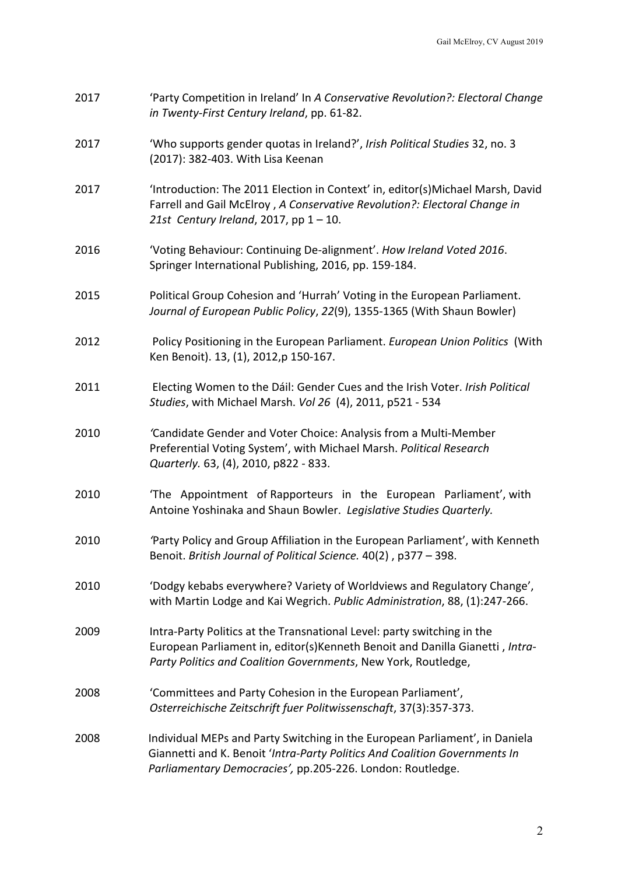| 2017 | 'Party Competition in Ireland' In A Conservative Revolution?: Electoral Change |
|------|--------------------------------------------------------------------------------|
|      | in Twenty-First Century Ireland, pp. 61-82.                                    |

- 2017 'Who supports gender quotas in Ireland?', *Irish Political Studies* 32, no. 3 (2017): 382-403. With Lisa Keenan
- 2017 'Introduction: The 2011 Election in Context' in, editor(s)Michael Marsh, David Farrell and Gail McElroy , *A Conservative Revolution?: Electoral Change in 21st Century Ireland*, 2017, pp 1 – 10.
- 2016 'Voting Behaviour: Continuing De-alignment'. *How Ireland Voted 2016*. Springer International Publishing, 2016, pp. 159-184.
- 2015 Political Group Cohesion and 'Hurrah' Voting in the European Parliament. *Journal of European Public Policy*, *22*(9), 1355-1365 (With Shaun Bowler)
- 2012 Policy Positioning in the European Parliament. *European Union Politics* (With Ken Benoit). 13, (1), 2012,p 150-167.
- 2011 Electing Women to the Dáil: Gender Cues and the Irish Voter. *Irish Political Studies*, with Michael Marsh. *Vol 26* (4), 2011, p521 - 534
- 2010 *'*Candidate Gender and Voter Choice: Analysis from a Multi-Member Preferential Voting System', with Michael Marsh. *Political Research Quarterly.* 63, (4), 2010, p822 - 833.
- 2010 'The Appointment of Rapporteurs in the European Parliament', with Antoine Yoshinaka and Shaun Bowler. *Legislative Studies Quarterly.*
- 2010 *'*Party Policy and Group Affiliation in the European Parliament', with Kenneth Benoit. *British Journal of Political Science.* 40(2) , p377 – 398.
- 2010 'Dodgy kebabs everywhere? Variety of Worldviews and Regulatory Change', with Martin Lodge and Kai Wegrich. *Public Administration*, 88, (1):247-266.
- 2009 Intra-Party Politics at the Transnational Level: party switching in the European Parliament in, editor(s)Kenneth Benoit and Danilla Gianetti , *Intra-Party Politics and Coalition Governments*, New York, Routledge,
- 2008 'Committees and Party Cohesion in the European Parliament', *Osterreichische Zeitschrift fuer Politwissenschaft*, 37(3):357-373.
- 2008 Individual MEPs and Party Switching in the European Parliament', in Daniela Giannetti and K. Benoit '*Intra-Party Politics And Coalition Governments In Parliamentary Democracies',* pp.205-226. London: Routledge.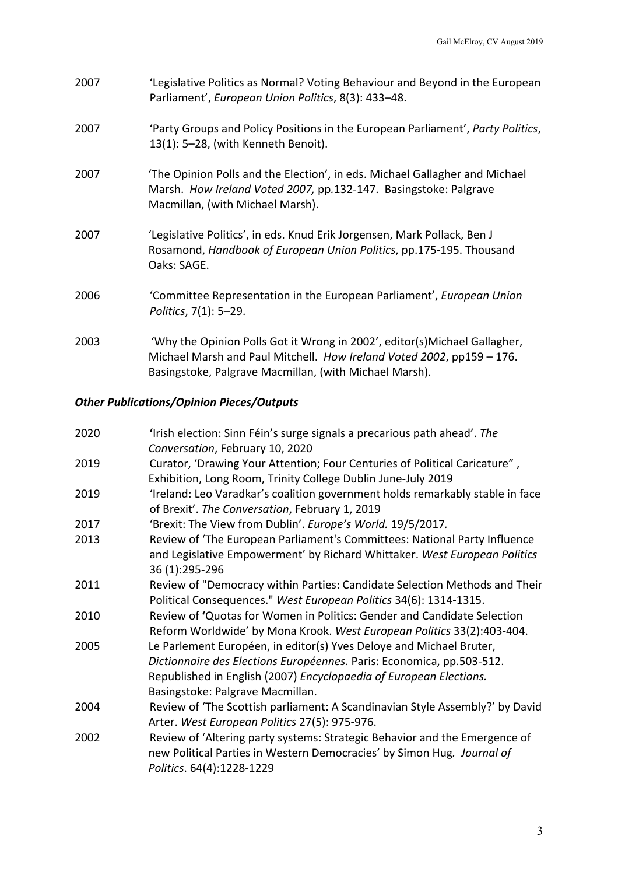| 2007 | 'Legislative Politics as Normal? Voting Behaviour and Beyond in the European<br>Parliament', European Union Politics, 8(3): 433-48.                                                                           |
|------|---------------------------------------------------------------------------------------------------------------------------------------------------------------------------------------------------------------|
| 2007 | 'Party Groups and Policy Positions in the European Parliament', Party Politics,<br>13(1): 5-28, (with Kenneth Benoit).                                                                                        |
| 2007 | 'The Opinion Polls and the Election', in eds. Michael Gallagher and Michael<br>Marsh. How Ireland Voted 2007, pp.132-147. Basingstoke: Palgrave<br>Macmillan, (with Michael Marsh).                           |
| 2007 | 'Legislative Politics', in eds. Knud Erik Jorgensen, Mark Pollack, Ben J<br>Rosamond, Handbook of European Union Politics, pp.175-195. Thousand<br>Oaks: SAGE.                                                |
| 2006 | 'Committee Representation in the European Parliament', European Union<br>Politics, 7(1): 5-29.                                                                                                                |
| 2003 | 'Why the Opinion Polls Got it Wrong in 2002', editor(s) Michael Gallagher,<br>Michael Marsh and Paul Mitchell. How Ireland Voted 2002, pp159 - 176.<br>Basingstoke, Palgrave Macmillan, (with Michael Marsh). |

# *Other Publications/Opinion Pieces/Outputs*

| 2020 | 'Irish election: Sinn Féin's surge signals a precarious path ahead'. The<br>Conversation, February 10, 2020                                                                                                                                            |
|------|--------------------------------------------------------------------------------------------------------------------------------------------------------------------------------------------------------------------------------------------------------|
| 2019 | Curator, 'Drawing Your Attention; Four Centuries of Political Caricature",<br>Exhibition, Long Room, Trinity College Dublin June-July 2019                                                                                                             |
| 2019 | 'Ireland: Leo Varadkar's coalition government holds remarkably stable in face<br>of Brexit'. The Conversation, February 1, 2019                                                                                                                        |
| 2017 | 'Brexit: The View from Dublin'. Europe's World. 19/5/2017.                                                                                                                                                                                             |
| 2013 | Review of 'The European Parliament's Committees: National Party Influence                                                                                                                                                                              |
|      | and Legislative Empowerment' by Richard Whittaker. West European Politics<br>36 (1):295-296                                                                                                                                                            |
| 2011 | Review of "Democracy within Parties: Candidate Selection Methods and Their<br>Political Consequences." West European Politics 34(6): 1314-1315.                                                                                                        |
| 2010 | Review of 'Quotas for Women in Politics: Gender and Candidate Selection<br>Reform Worldwide' by Mona Krook. West European Politics 33(2):403-404.                                                                                                      |
| 2005 | Le Parlement Européen, in editor(s) Yves Deloye and Michael Bruter,<br>Dictionnaire des Elections Européennes. Paris: Economica, pp.503-512.<br>Republished in English (2007) Encyclopaedia of European Elections.<br>Basingstoke: Palgrave Macmillan. |
| 2004 | Review of 'The Scottish parliament: A Scandinavian Style Assembly?' by David<br>Arter. West European Politics 27(5): 975-976.                                                                                                                          |
| 2002 | Review of 'Altering party systems: Strategic Behavior and the Emergence of<br>new Political Parties in Western Democracies' by Simon Hug. Journal of<br>Politics. 64(4):1228-1229                                                                      |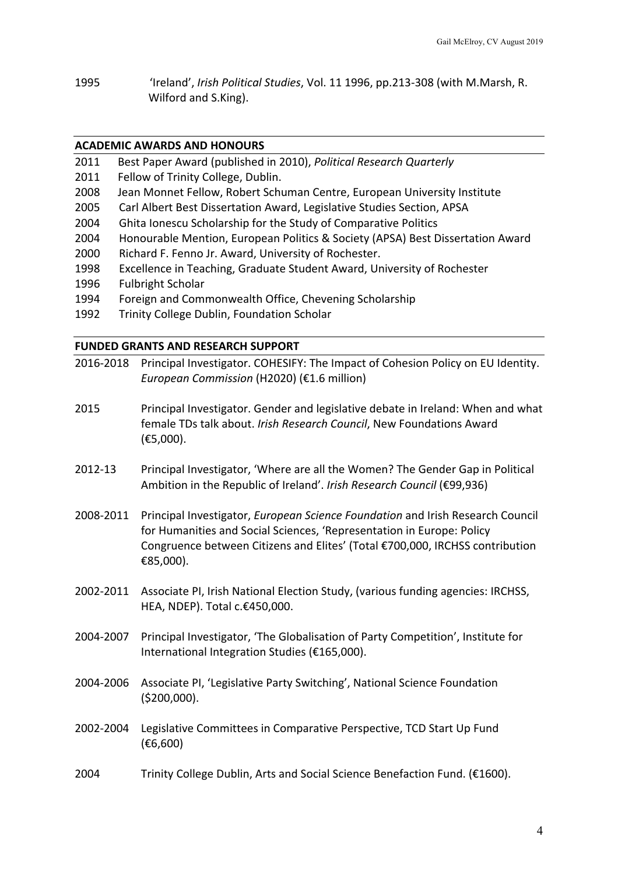1995 'Ireland', *Irish Political Studies*, Vol. 11 1996, pp.213-308 (with M.Marsh, R. Wilford and S.King).

# **ACADEMIC AWARDS AND HONOURS**

- 2011 Best Paper Award (published in 2010), *Political Research Quarterly*
- 2011 Fellow of Trinity College, Dublin.
- 2008 Jean Monnet Fellow, Robert Schuman Centre, European University Institute
- 2005 Carl Albert Best Dissertation Award, Legislative Studies Section, APSA
- 2004 Ghita Ionescu Scholarship for the Study of Comparative Politics
- 2004 Honourable Mention, European Politics & Society (APSA) Best Dissertation Award
- 2000 Richard F. Fenno Jr. Award, University of Rochester.
- 1998 Excellence in Teaching, Graduate Student Award, University of Rochester
- 1996 Fulbright Scholar
- 1994 Foreign and Commonwealth Office, Chevening Scholarship
- 1992 Trinity College Dublin, Foundation Scholar

# **FUNDED GRANTS AND RESEARCH SUPPORT**

- 2016-2018 Principal Investigator. COHESIFY: The Impact of Cohesion Policy on EU Identity. *European Commission* (H2020) (€1.6 million)
- 2015 Principal Investigator. Gender and legislative debate in Ireland: When and what female TDs talk about. *Irish Research Council*, New Foundations Award (€5,000).
- 2012-13 Principal Investigator, 'Where are all the Women? The Gender Gap in Political Ambition in the Republic of Ireland'. *Irish Research Council* (€99,936)
- 2008-2011 Principal Investigator, *European Science Foundation* and Irish Research Council for Humanities and Social Sciences, 'Representation in Europe: Policy Congruence between Citizens and Elites' (Total €700,000, IRCHSS contribution €85,000).
- 2002-2011 Associate PI, Irish National Election Study, (various funding agencies: IRCHSS, HEA, NDEP). Total c.€450,000.
- 2004-2007 Principal Investigator, 'The Globalisation of Party Competition', Institute for International Integration Studies (€165,000).
- 2004-2006 Associate PI, 'Legislative Party Switching', National Science Foundation (\$200,000).
- 2002-2004 Legislative Committees in Comparative Perspective, TCD Start Up Fund (€6,600)
- 2004 Trinity College Dublin, Arts and Social Science Benefaction Fund. (€1600).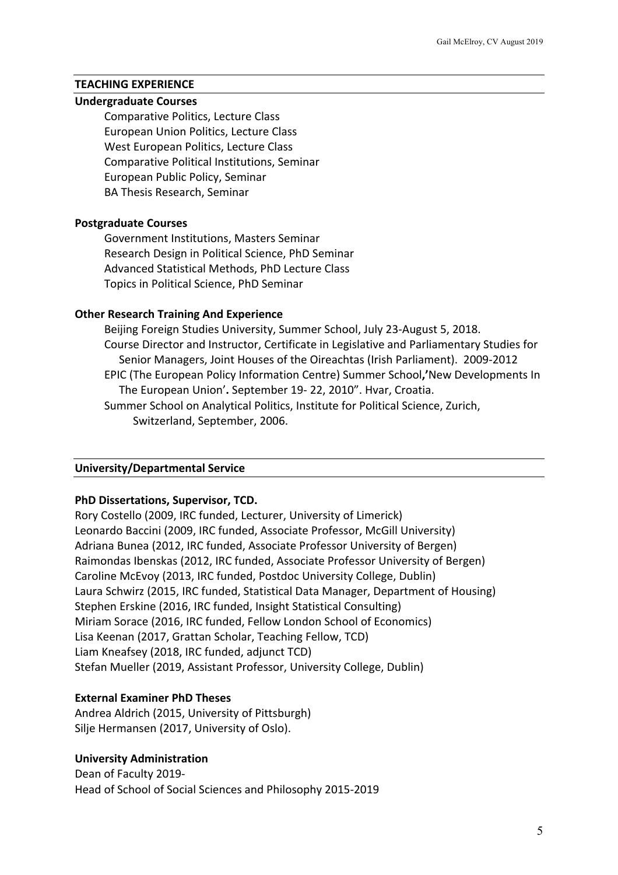# **TEACHING EXPERIENCE**

#### **Undergraduate Courses**

Comparative Politics, Lecture Class European Union Politics, Lecture Class West European Politics, Lecture Class Comparative Political Institutions, Seminar European Public Policy, Seminar BA Thesis Research, Seminar

#### **Postgraduate Courses**

Government Institutions, Masters Seminar Research Design in Political Science, PhD Seminar Advanced Statistical Methods, PhD Lecture Class Topics in Political Science, PhD Seminar

#### **Other Research Training And Experience**

Beijing Foreign Studies University, Summer School, July 23-August 5, 2018. Course Director and Instructor, Certificate in Legislative and Parliamentary Studies for Senior Managers, Joint Houses of the Oireachtas (Irish Parliament). 2009-2012 EPIC (The European Policy Information Centre) Summer School**,'**New Developments In The European Union'**.** September 19- 22, 2010". Hvar, Croatia. Summer School on Analytical Politics, Institute for Political Science, Zurich, Switzerland, September, 2006.

#### **University/Departmental Service**

# **PhD Dissertations, Supervisor, TCD.**

Rory Costello (2009, IRC funded, Lecturer, University of Limerick) Leonardo Baccini (2009, IRC funded, Associate Professor, McGill University) Adriana Bunea (2012, IRC funded, Associate Professor University of Bergen) Raimondas Ibenskas (2012, IRC funded, Associate Professor University of Bergen) Caroline McEvoy (2013, IRC funded, Postdoc University College, Dublin) Laura Schwirz (2015, IRC funded, Statistical Data Manager, Department of Housing) Stephen Erskine (2016, IRC funded, Insight Statistical Consulting) Miriam Sorace (2016, IRC funded, Fellow London School of Economics) Lisa Keenan (2017, Grattan Scholar, Teaching Fellow, TCD) Liam Kneafsey (2018, IRC funded, adjunct TCD) Stefan Mueller (2019, Assistant Professor, University College, Dublin)

#### **External Examiner PhD Theses**

Andrea Aldrich (2015, University of Pittsburgh) Silje Hermansen (2017, University of Oslo).

#### **University Administration**

Dean of Faculty 2019- Head of School of Social Sciences and Philosophy 2015-2019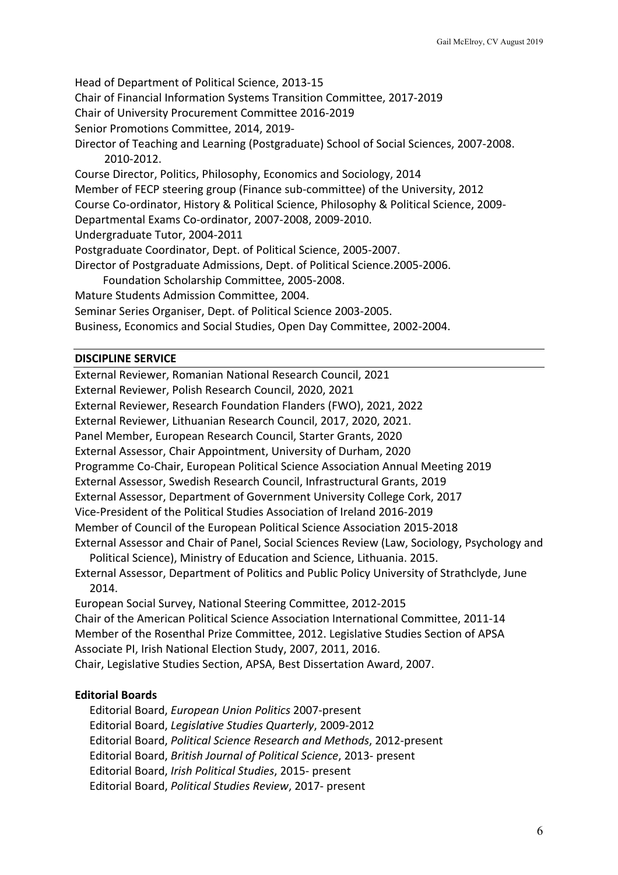Head of Department of Political Science, 2013-15 Chair of Financial Information Systems Transition Committee, 2017-2019 Chair of University Procurement Committee 2016-2019 Senior Promotions Committee, 2014, 2019- Director of Teaching and Learning (Postgraduate) School of Social Sciences, 2007-2008. 2010-2012. Course Director, Politics, Philosophy, Economics and Sociology, 2014 Member of FECP steering group (Finance sub-committee) of the University, 2012 Course Co-ordinator, History & Political Science, Philosophy & Political Science, 2009- Departmental Exams Co-ordinator, 2007-2008, 2009-2010. Undergraduate Tutor, 2004-2011 Postgraduate Coordinator, Dept. of Political Science, 2005-2007. Director of Postgraduate Admissions, Dept. of Political Science.2005-2006. Foundation Scholarship Committee, 2005-2008. Mature Students Admission Committee, 2004.

Seminar Series Organiser, Dept. of Political Science 2003-2005. Business, Economics and Social Studies, Open Day Committee, 2002-2004.

## **DISCIPLINE SERVICE**

External Reviewer, Romanian National Research Council, 2021

External Reviewer, Polish Research Council, 2020, 2021

External Reviewer, Research Foundation Flanders (FWO), 2021, 2022

External Reviewer, Lithuanian Research Council, 2017, 2020, 2021.

Panel Member, European Research Council, Starter Grants, 2020

External Assessor, Chair Appointment, University of Durham, 2020

Programme Co-Chair, European Political Science Association Annual Meeting 2019

External Assessor, Swedish Research Council, Infrastructural Grants, 2019

External Assessor, Department of Government University College Cork, 2017

Vice-President of the Political Studies Association of Ireland 2016-2019

Member of Council of the European Political Science Association 2015-2018

External Assessor and Chair of Panel, Social Sciences Review (Law, Sociology, Psychology and Political Science), Ministry of Education and Science, Lithuania. 2015.

External Assessor, Department of Politics and Public Policy University of Strathclyde, June 2014.

European Social Survey, National Steering Committee, 2012-2015 Chair of the American Political Science Association International Committee, 2011-14 Member of the Rosenthal Prize Committee, 2012. Legislative Studies Section of APSA Associate PI, Irish National Election Study, 2007, 2011, 2016. Chair, Legislative Studies Section, APSA, Best Dissertation Award, 2007.

# **Editorial Boards**

Editorial Board, *European Union Politics* 2007-present Editorial Board, *Legislative Studies Quarterly*, 2009-2012 Editorial Board, *Political Science Research and Methods*, 2012-present Editorial Board, *British Journal of Political Science*, 2013- present Editorial Board, *Irish Political Studies*, 2015- present Editorial Board, *Political Studies Review*, 2017- present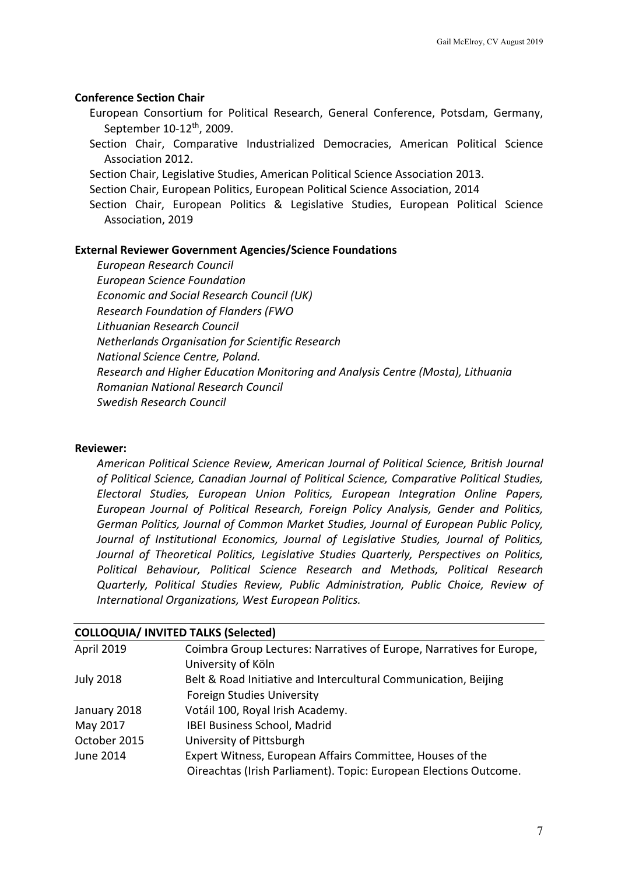# **Conference Section Chair**

European Consortium for Political Research, General Conference, Potsdam, Germany, September 10-12th, 2009.

- Section Chair, Comparative Industrialized Democracies, American Political Science Association 2012.
- Section Chair, Legislative Studies, American Political Science Association 2013.
- Section Chair, European Politics, European Political Science Association, 2014
- Section Chair, European Politics & Legislative Studies, European Political Science Association, 2019

## **External Reviewer Government Agencies/Science Foundations**

*European Research Council European Science Foundation Economic and Social Research Council (UK) Research Foundation of Flanders (FWO Lithuanian Research Council Netherlands Organisation for Scientific Research National Science Centre, Poland. Research and Higher Education Monitoring and Analysis Centre (Mosta), Lithuania Romanian National Research Council Swedish Research Council*

# **Reviewer:**

*American Political Science Review, American Journal of Political Science, British Journal of Political Science, Canadian Journal of Political Science, Comparative Political Studies, Electoral Studies, European Union Politics, European Integration Online Papers, European Journal of Political Research, Foreign Policy Analysis, Gender and Politics, German Politics, Journal of Common Market Studies, Journal of European Public Policy, Journal of Institutional Economics, Journal of Legislative Studies, Journal of Politics, Journal of Theoretical Politics, Legislative Studies Quarterly, Perspectives on Politics, Political Behaviour, Political Science Research and Methods, Political Research Quarterly, Political Studies Review, Public Administration, Public Choice, Review of International Organizations, West European Politics.*

| COLLOQUIA/ INVITED TALKS (SEIECLEU) |                                                                      |
|-------------------------------------|----------------------------------------------------------------------|
| <b>April 2019</b>                   | Coimbra Group Lectures: Narratives of Europe, Narratives for Europe, |
|                                     | University of Köln                                                   |
| <b>July 2018</b>                    | Belt & Road Initiative and Intercultural Communication, Beijing      |
|                                     | <b>Foreign Studies University</b>                                    |
| January 2018                        | Votáil 100, Royal Irish Academy.                                     |
| May 2017                            | IBEI Business School, Madrid                                         |
| October 2015                        | University of Pittsburgh                                             |
| June 2014                           | Expert Witness, European Affairs Committee, Houses of the            |
|                                     | Oireachtas (Irish Parliament). Topic: European Elections Outcome.    |
|                                     |                                                                      |

# **COLLOQUIA/ INVITED TALKS (Selected)**